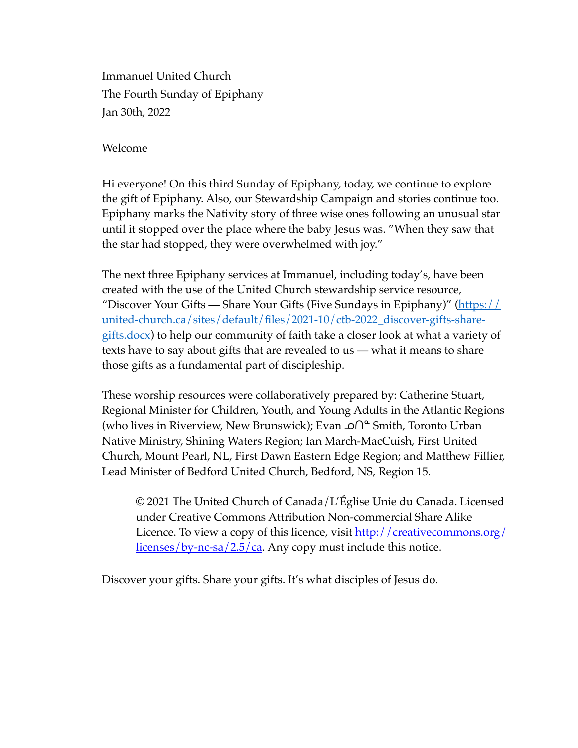Immanuel United Church The Fourth Sunday of Epiphany Jan 30th, 2022

Welcome

Hi everyone! On this third Sunday of Epiphany, today, we continue to explore the gift of Epiphany. Also, our Stewardship Campaign and stories continue too. Epiphany marks the Nativity story of three wise ones following an unusual star until it stopped over the place where the baby Jesus was. "When they saw that the star had stopped, they were overwhelmed with joy."

The next three Epiphany services at Immanuel, including today's, have been created with the use of the United Church stewardship service resource, "Discover Your Gifts — Share Your Gifts (Five Sundays in Epiphany)" ( $\frac{https://}{https://}$ [united-church.ca/sites/default/files/2021-10/ctb-2022\\_discover-gifts-share](https://united-church.ca/sites/default/files/2021-10/ctb-2022_discover-gifts-share-gifts.docx)[gifts.docx\)](https://united-church.ca/sites/default/files/2021-10/ctb-2022_discover-gifts-share-gifts.docx) to help our community of faith take a closer look at what a variety of texts have to say about gifts that are revealed to us — what it means to share those gifts as a fundamental part of discipleship.

These worship resources were collaboratively prepared by: Catherine Stuart, Regional Minister for Children, Youth, and Young Adults in the Atlantic Regions (who lives in Riverview, New Brunswick); Evan **∩**<sup>≏</sup> Smith, Toronto Urban Native Ministry, Shining Waters Region; Ian March-MacCuish, First United Church, Mount Pearl, NL, First Dawn Eastern Edge Region; and Matthew Fillier, Lead Minister of Bedford United Church, Bedford, NS, Region 15.

© 2021 The United Church of Canada/L'Église Unie du Canada. Licensed under Creative Commons Attribution Non-commercial Share Alike Licence. To view a copy of this licence, visit [http://creativecommons.org/](http://creativecommons.org/licenses/by-nc-sa/2.5/ca) [licenses/by-nc-sa/2.5/ca.](http://creativecommons.org/licenses/by-nc-sa/2.5/ca) Any copy must include this notice.

Discover your gifts. Share your gifts. It's what disciples of Jesus do.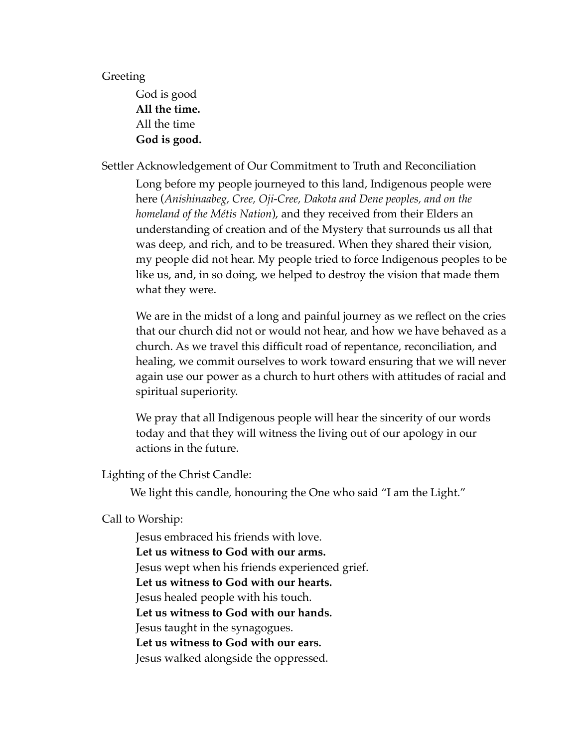## Greeting

God is good **All the time.** All the time **God is good.**

Settler Acknowledgement of Our Commitment to Truth and Reconciliation

Long before my people journeyed to this land, Indigenous people were here (*Anishinaabeg, Cree, Oji-Cree, Dakota and Dene peoples, and on the homeland of the Métis Nation*), and they received from their Elders an understanding of creation and of the Mystery that surrounds us all that was deep, and rich, and to be treasured. When they shared their vision, my people did not hear. My people tried to force Indigenous peoples to be like us, and, in so doing, we helped to destroy the vision that made them what they were.

We are in the midst of a long and painful journey as we reflect on the cries that our church did not or would not hear, and how we have behaved as a church. As we travel this difficult road of repentance, reconciliation, and healing, we commit ourselves to work toward ensuring that we will never again use our power as a church to hurt others with attitudes of racial and spiritual superiority.

We pray that all Indigenous people will hear the sincerity of our words today and that they will witness the living out of our apology in our actions in the future.

Lighting of the Christ Candle:

We light this candle, honouring the One who said "I am the Light."

Call to Worship:

Jesus embraced his friends with love. **Let us witness to God with our arms.** Jesus wept when his friends experienced grief. **Let us witness to God with our hearts.** Jesus healed people with his touch. **Let us witness to God with our hands.** Jesus taught in the synagogues. **Let us witness to God with our ears.** Jesus walked alongside the oppressed.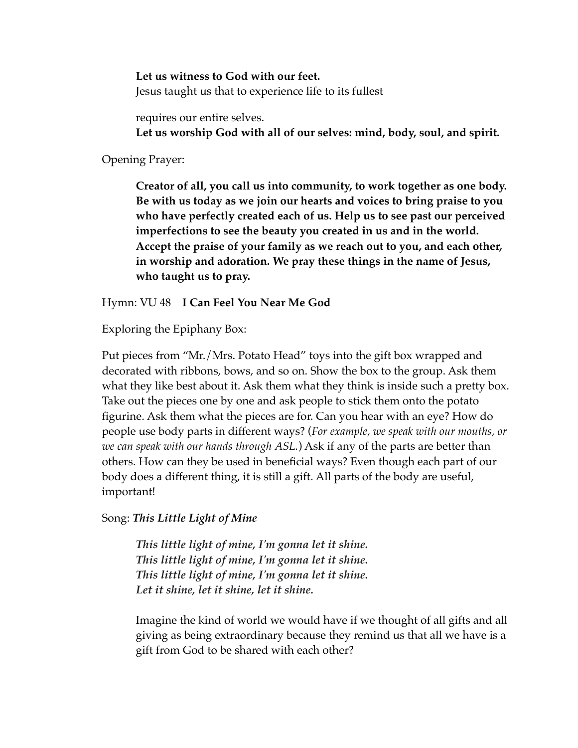**Let us witness to God with our feet.** Jesus taught us that to experience life to its fullest

requires our entire selves. **Let us worship God with all of our selves: mind, body, soul, and spirit.**

Opening Prayer:

**Creator of all, you call us into community, to work together as one body. Be with us today as we join our hearts and voices to bring praise to you who have perfectly created each of us. Help us to see past our perceived imperfections to see the beauty you created in us and in the world. Accept the praise of your family as we reach out to you, and each other, in worship and adoration. We pray these things in the name of Jesus, who taught us to pray.** 

Hymn: VU 48 **I Can Feel You Near Me God**

Exploring the Epiphany Box:

Put pieces from "Mr./Mrs. Potato Head" toys into the gift box wrapped and decorated with ribbons, bows, and so on. Show the box to the group. Ask them what they like best about it. Ask them what they think is inside such a pretty box. Take out the pieces one by one and ask people to stick them onto the potato figurine. Ask them what the pieces are for. Can you hear with an eye? How do people use body parts in different ways? (*For example, we speak with our mouths, or we can speak with our hands through ASL.*) Ask if any of the parts are better than others. How can they be used in beneficial ways? Even though each part of our body does a different thing, it is still a gift. All parts of the body are useful, important!

Song: *This Little Light of Mine* 

*This little light of mine, I'm gonna let it shine. This little light of mine, I'm gonna let it shine. This little light of mine, I'm gonna let it shine. Let it shine, let it shine, let it shine.*

Imagine the kind of world we would have if we thought of all gifts and all giving as being extraordinary because they remind us that all we have is a gift from God to be shared with each other?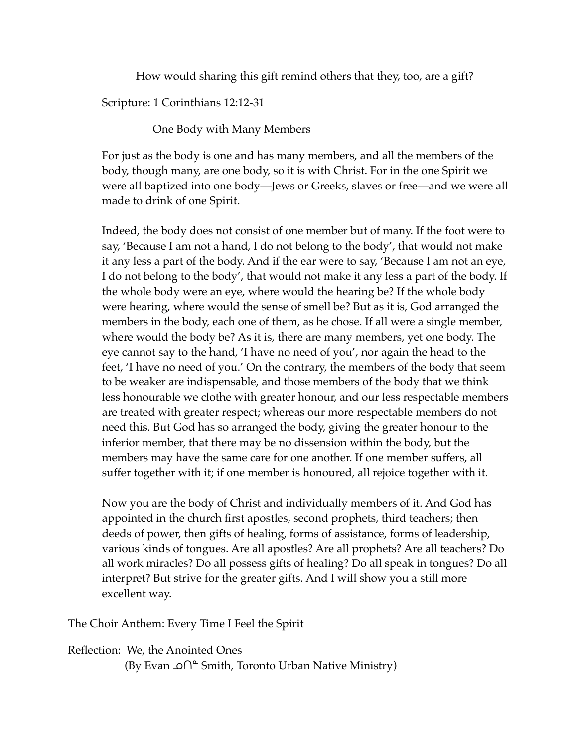How would sharing this gift remind others that they, too, are a gift?

Scripture: 1 Corinthians 12:12-31

One Body with Many Members

For just as the body is one and has many members, and all the members of the body, though many, are one body, so it is with Christ. For in the one Spirit we were all baptized into one body—Jews or Greeks, slaves or free—and we were all made to drink of one Spirit.

Indeed, the body does not consist of one member but of many. If the foot were to say, 'Because I am not a hand, I do not belong to the body', that would not make it any less a part of the body. And if the ear were to say, 'Because I am not an eye, I do not belong to the body', that would not make it any less a part of the body. If the whole body were an eye, where would the hearing be? If the whole body were hearing, where would the sense of smell be? But as it is, God arranged the members in the body, each one of them, as he chose. If all were a single member, where would the body be? As it is, there are many members, yet one body. The eye cannot say to the hand, 'I have no need of you', nor again the head to the feet, 'I have no need of you.' On the contrary, the members of the body that seem to be weaker are indispensable, and those members of the body that we think less honourable we clothe with greater honour, and our less respectable members are treated with greater respect; whereas our more respectable members do not need this. But God has so arranged the body, giving the greater honour to the inferior member, that there may be no dissension within the body, but the members may have the same care for one another. If one member suffers, all suffer together with it; if one member is honoured, all rejoice together with it.

Now you are the body of Christ and individually members of it. And God has appointed in the church first apostles, second prophets, third teachers; then deeds of power, then gifts of healing, forms of assistance, forms of leadership, various kinds of tongues. Are all apostles? Are all prophets? Are all teachers? Do all work miracles? Do all possess gifts of healing? Do all speak in tongues? Do all interpret? But strive for the greater gifts. And I will show you a still more excellent way.

The Choir Anthem: Every Time I Feel the Spirit

Reflection: We, the Anointed Ones

(By Evan ∩≏ Smith, Toronto Urban Native Ministry)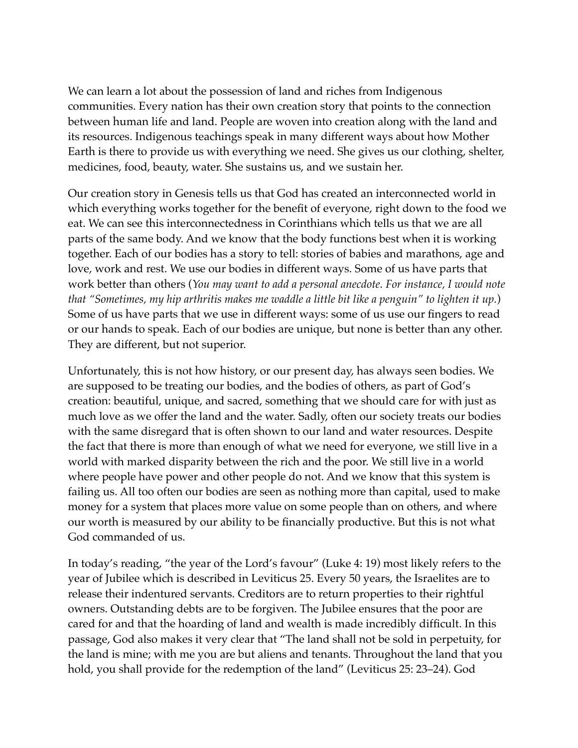We can learn a lot about the possession of land and riches from Indigenous communities. Every nation has their own creation story that points to the connection between human life and land. People are woven into creation along with the land and its resources. Indigenous teachings speak in many different ways about how Mother Earth is there to provide us with everything we need. She gives us our clothing, shelter, medicines, food, beauty, water. She sustains us, and we sustain her.

Our creation story in Genesis tells us that God has created an interconnected world in which everything works together for the benefit of everyone, right down to the food we eat. We can see this interconnectedness in Corinthians which tells us that we are all parts of the same body. And we know that the body functions best when it is working together. Each of our bodies has a story to tell: stories of babies and marathons, age and love, work and rest. We use our bodies in different ways. Some of us have parts that work better than others (*You may want to add a personal anecdote. For instance, I would note that "Sometimes, my hip arthritis makes me waddle a little bit like a penguin" to lighten it up.*) Some of us have parts that we use in different ways: some of us use our fingers to read or our hands to speak. Each of our bodies are unique, but none is better than any other. They are different, but not superior.

Unfortunately, this is not how history, or our present day, has always seen bodies. We are supposed to be treating our bodies, and the bodies of others, as part of God's creation: beautiful, unique, and sacred, something that we should care for with just as much love as we offer the land and the water. Sadly, often our society treats our bodies with the same disregard that is often shown to our land and water resources. Despite the fact that there is more than enough of what we need for everyone, we still live in a world with marked disparity between the rich and the poor. We still live in a world where people have power and other people do not. And we know that this system is failing us. All too often our bodies are seen as nothing more than capital, used to make money for a system that places more value on some people than on others, and where our worth is measured by our ability to be financially productive. But this is not what God commanded of us.

In today's reading, "the year of the Lord's favour" (Luke 4: 19) most likely refers to the year of Jubilee which is described in Leviticus 25. Every 50 years, the Israelites are to release their indentured servants. Creditors are to return properties to their rightful owners. Outstanding debts are to be forgiven. The Jubilee ensures that the poor are cared for and that the hoarding of land and wealth is made incredibly difficult. In this passage, God also makes it very clear that "The land shall not be sold in perpetuity, for the land is mine; with me you are but aliens and tenants. Throughout the land that you hold, you shall provide for the redemption of the land" (Leviticus 25: 23–24). God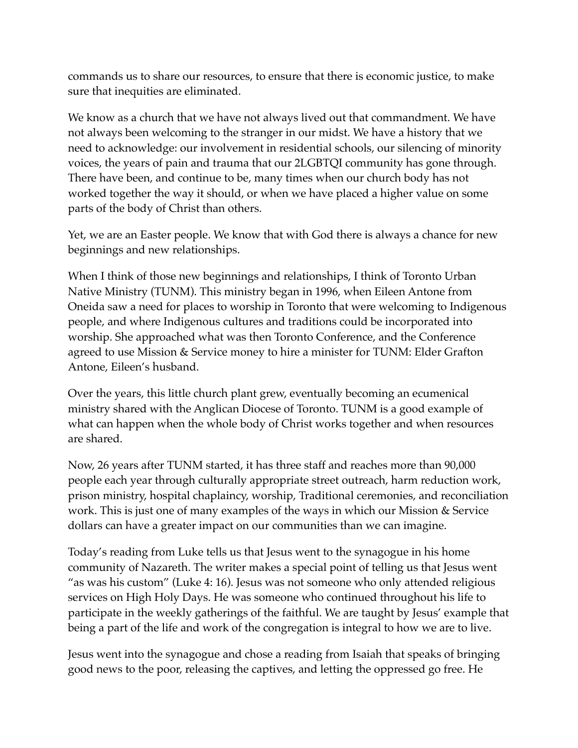commands us to share our resources, to ensure that there is economic justice, to make sure that inequities are eliminated.

We know as a church that we have not always lived out that commandment. We have not always been welcoming to the stranger in our midst. We have a history that we need to acknowledge: our involvement in residential schools, our silencing of minority voices, the years of pain and trauma that our 2LGBTQI community has gone through. There have been, and continue to be, many times when our church body has not worked together the way it should, or when we have placed a higher value on some parts of the body of Christ than others.

Yet, we are an Easter people. We know that with God there is always a chance for new beginnings and new relationships.

When I think of those new beginnings and relationships, I think of Toronto Urban Native Ministry (TUNM). This ministry began in 1996, when Eileen Antone from Oneida saw a need for places to worship in Toronto that were welcoming to Indigenous people, and where Indigenous cultures and traditions could be incorporated into worship. She approached what was then Toronto Conference, and the Conference agreed to use Mission & Service money to hire a minister for TUNM: Elder Grafton Antone, Eileen's husband.

Over the years, this little church plant grew, eventually becoming an ecumenical ministry shared with the Anglican Diocese of Toronto. TUNM is a good example of what can happen when the whole body of Christ works together and when resources are shared.

Now, 26 years after TUNM started, it has three staff and reaches more than 90,000 people each year through culturally appropriate street outreach, harm reduction work, prison ministry, hospital chaplaincy, worship, Traditional ceremonies, and reconciliation work. This is just one of many examples of the ways in which our Mission & Service dollars can have a greater impact on our communities than we can imagine.

Today's reading from Luke tells us that Jesus went to the synagogue in his home community of Nazareth. The writer makes a special point of telling us that Jesus went "as was his custom" (Luke 4: 16). Jesus was not someone who only attended religious services on High Holy Days. He was someone who continued throughout his life to participate in the weekly gatherings of the faithful. We are taught by Jesus' example that being a part of the life and work of the congregation is integral to how we are to live.

Jesus went into the synagogue and chose a reading from Isaiah that speaks of bringing good news to the poor, releasing the captives, and letting the oppressed go free. He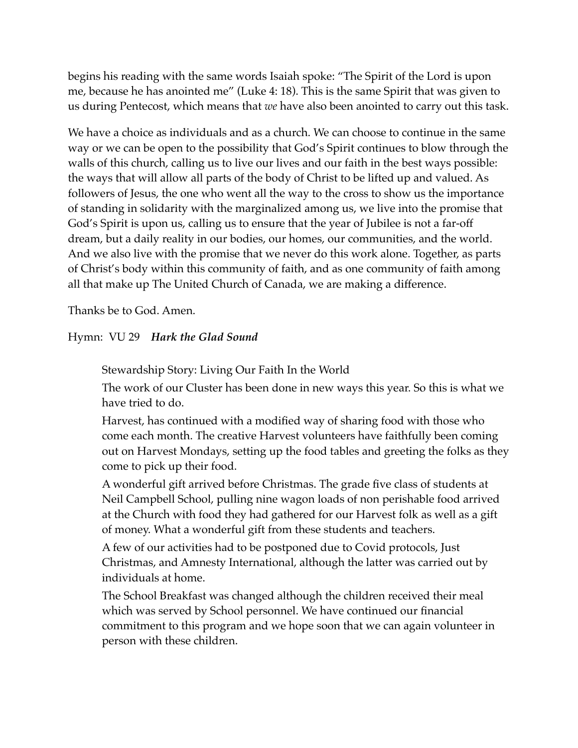begins his reading with the same words Isaiah spoke: "The Spirit of the Lord is upon me, because he has anointed me" (Luke 4: 18). This is the same Spirit that was given to us during Pentecost, which means that *we* have also been anointed to carry out this task.

We have a choice as individuals and as a church. We can choose to continue in the same way or we can be open to the possibility that God's Spirit continues to blow through the walls of this church, calling us to live our lives and our faith in the best ways possible: the ways that will allow all parts of the body of Christ to be lifted up and valued. As followers of Jesus, the one who went all the way to the cross to show us the importance of standing in solidarity with the marginalized among us, we live into the promise that God's Spirit is upon us, calling us to ensure that the year of Jubilee is not a far-off dream, but a daily reality in our bodies, our homes, our communities, and the world. And we also live with the promise that we never do this work alone. Together, as parts of Christ's body within this community of faith, and as one community of faith among all that make up The United Church of Canada, we are making a difference.

Thanks be to God. Amen.

## Hymn: VU 29 *Hark the Glad Sound*

Stewardship Story: Living Our Faith In the World

The work of our Cluster has been done in new ways this year. So this is what we have tried to do.

Harvest, has continued with a modified way of sharing food with those who come each month. The creative Harvest volunteers have faithfully been coming out on Harvest Mondays, setting up the food tables and greeting the folks as they come to pick up their food.

A wonderful gift arrived before Christmas. The grade five class of students at Neil Campbell School, pulling nine wagon loads of non perishable food arrived at the Church with food they had gathered for our Harvest folk as well as a gift of money. What a wonderful gift from these students and teachers.

A few of our activities had to be postponed due to Covid protocols, Just Christmas, and Amnesty International, although the latter was carried out by individuals at home.

The School Breakfast was changed although the children received their meal which was served by School personnel. We have continued our financial commitment to this program and we hope soon that we can again volunteer in person with these children.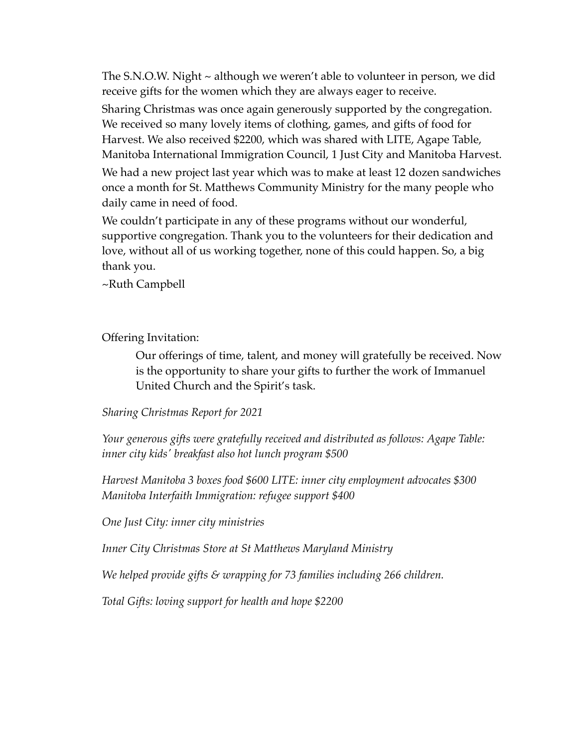The S.N.O.W. Night ~ although we weren't able to volunteer in person, we did receive gifts for the women which they are always eager to receive.

Sharing Christmas was once again generously supported by the congregation. We received so many lovely items of clothing, games, and gifts of food for Harvest. We also received \$2200, which was shared with LITE, Agape Table, Manitoba International Immigration Council, 1 Just City and Manitoba Harvest. We had a new project last year which was to make at least 12 dozen sandwiches once a month for St. Matthews Community Ministry for the many people who daily came in need of food.

We couldn't participate in any of these programs without our wonderful, supportive congregation. Thank you to the volunteers for their dedication and love, without all of us working together, none of this could happen. So, a big thank you.

~Ruth Campbell

Offering Invitation:

Our offerings of time, talent, and money will gratefully be received. Now is the opportunity to share your gifts to further the work of Immanuel United Church and the Spirit's task.

*Sharing Christmas Report for 2021*

*Your generous gifts were gratefully received and distributed as follows: Agape Table: inner city kids' breakfast also hot lunch program \$500*

*Harvest Manitoba 3 boxes food \$600 LITE: inner city employment advocates \$300 Manitoba Interfaith Immigration: refugee support \$400*

*One Just City: inner city ministries*

*Inner City Christmas Store at St Matthews Maryland Ministry*

*We helped provide gifts & wrapping for 73 families including 266 children.*

*Total Gifts: loving support for health and hope \$2200*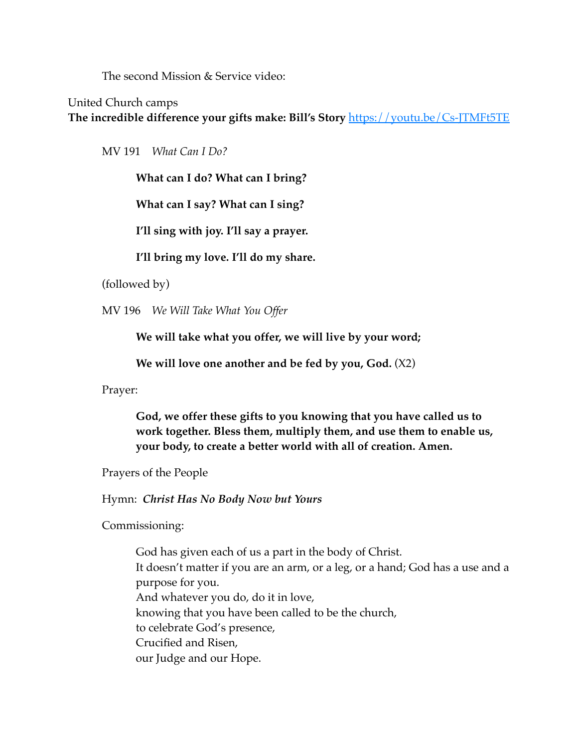The second Mission & Service video:

United Church camps

**The incredible difference your gifts make: Bill's Story** <https://youtu.be/Cs-JTMFt5TE>

MV 191 *What Can I Do?* 

**What can I do? What can I bring?**

**What can I say? What can I sing?** 

**I'll sing with joy. I'll say a prayer.** 

**I'll bring my love. I'll do my share.** 

(followed by)

MV 196 *We Will Take What You Offer* 

**We will take what you offer, we will live by your word;**

**We will love one another and be fed by you, God.** (X2)

Prayer:

**God, we offer these gifts to you knowing that you have called us to work together. Bless them, multiply them, and use them to enable us, your body, to create a better world with all of creation. Amen.**

Prayers of the People

Hymn: *Christ Has No Body Now but Yours*

Commissioning:

God has given each of us a part in the body of Christ. It doesn't matter if you are an arm, or a leg, or a hand; God has a use and a purpose for you. And whatever you do, do it in love, knowing that you have been called to be the church, to celebrate God's presence, Crucified and Risen, our Judge and our Hope.